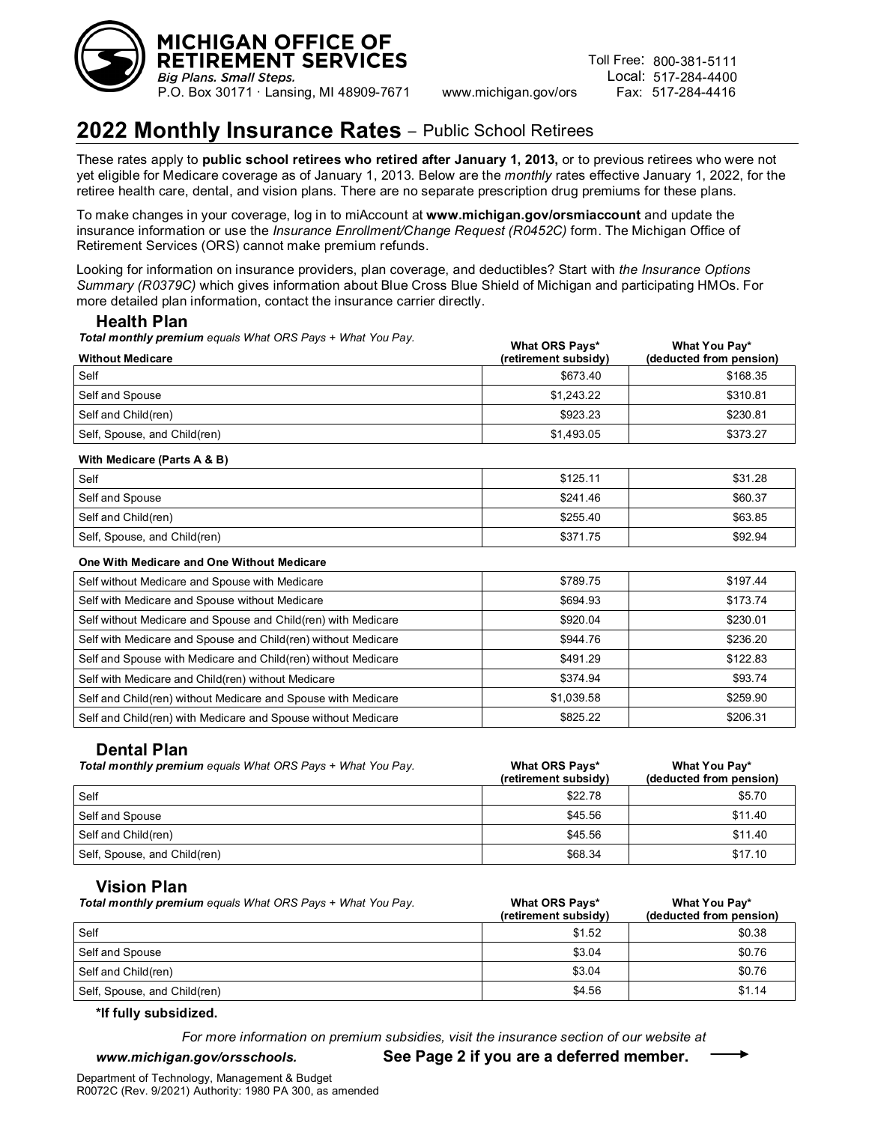

# **2022 Monthly Insurance Rates –** Public School Retirees

These rates apply to **public school retirees who retired after January 1, 2013,** or to previous retirees who were not yet eligible for Medicare coverage as of January 1, 2013. Below are the *monthly* rates effective January 1, 2022, for the retiree health care, dental, and vision plans. There are no separate prescription drug premiums for these plans.

To make changes in your coverage, log in to miAccount at **www.michigan.gov/orsmiaccount** and update the insurance information or use the *Insurance Enrollment/Change Request (R0452C)* form. The Michigan Office of Retirement Services (ORS) cannot make premium refunds.

Looking for information on insurance providers, plan coverage, and deductibles? Start with *the Insurance Options Summary (R0379C)* which gives information about Blue Cross Blue Shield of Michigan and participating HMOs. For more detailed plan information, contact the insurance carrier directly.

# **Health Plan**

*Total monthly premium equals What ORS Pays + What You Pay.*

| <b>Without Medicare</b>      | <b>What ORS Pays*</b><br>(retirement subsidy) | What You Pay*<br>(deducted from pension) |
|------------------------------|-----------------------------------------------|------------------------------------------|
| Self                         | \$673.40                                      | \$168.35                                 |
| Self and Spouse              | \$1,243.22                                    | \$310.81                                 |
| Self and Child(ren)          | \$923.23                                      | \$230.81                                 |
| Self, Spouse, and Child(ren) | \$1,493.05                                    | \$373.27                                 |

what Orse Pays<sup>\*</sup>

#### **With Medicare (Parts A & B)**

| Self                         | \$125.11 | \$31.28 |
|------------------------------|----------|---------|
| Self and Spouse              | \$241.46 | \$60.37 |
| Self and Child(ren)          | \$255.40 | \$63.85 |
| Self, Spouse, and Child(ren) | \$371.75 | \$92.94 |

#### **One With Medicare and One Without Medicare**

| Self without Medicare and Spouse with Medicare                | \$789.75   | \$197.44 |
|---------------------------------------------------------------|------------|----------|
| Self with Medicare and Spouse without Medicare                | \$694.93   | \$173.74 |
| Self without Medicare and Spouse and Child(ren) with Medicare | \$920.04   | \$230.01 |
| Self with Medicare and Spouse and Child(ren) without Medicare | \$944.76   | \$236.20 |
| Self and Spouse with Medicare and Child(ren) without Medicare | \$491.29   | \$122.83 |
| Self with Medicare and Child(ren) without Medicare            | \$374.94   | \$93.74  |
| Self and Child(ren) without Medicare and Spouse with Medicare | \$1,039.58 | \$259.90 |
| Self and Child(ren) with Medicare and Spouse without Medicare | \$825.22   | \$206.31 |

# **Dental Plan**

| <b>Total monthly premium</b> equals What ORS Pays + What You Pay. | What ORS Pays*<br>(retirement subsidy) | What You Pay*<br>(deducted from pension) |
|-------------------------------------------------------------------|----------------------------------------|------------------------------------------|
| Self                                                              | \$22.78                                | \$5.70                                   |
| Self and Spouse                                                   | \$45.56                                | \$11.40                                  |
| Self and Child(ren)                                               | \$45.56                                | \$11.40                                  |
| Self, Spouse, and Child(ren)                                      | \$68.34                                | \$17.10                                  |

# **Vision Plan**

| Total monthly premium equals What ORS Pays + What You Pay. | What ORS Pays*<br>(retirement subsidy) | What You Pay*<br>(deducted from pension) |
|------------------------------------------------------------|----------------------------------------|------------------------------------------|
| Self                                                       | \$1.52                                 | \$0.38                                   |
| Self and Spouse                                            | \$3.04                                 | \$0.76                                   |
| Self and Child(ren)                                        | \$3.04                                 | \$0.76                                   |
| Self, Spouse, and Child(ren)                               | \$4.56                                 | \$1.14                                   |

### **\*If fully subsidized.**

*For more information on premium subsidies, visit the insurance section of our website at* 

*www.michigan.gov/orsschools.* **See Page 2 if you are a deferred member.**